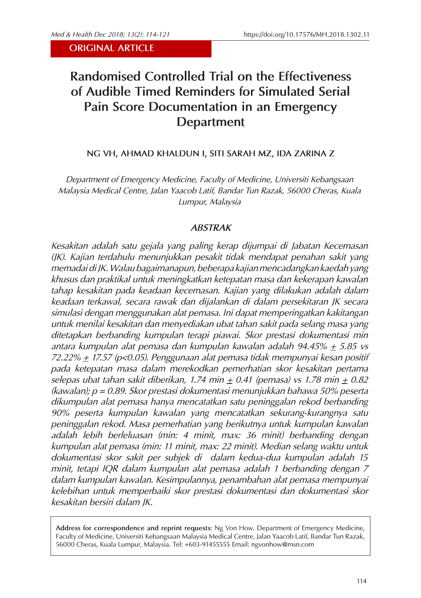# **Randomised Controlled Trial on the Effectiveness of Audible Timed Reminders for Simulated Serial Pain Score Documentation in an Emergency Department**

## **NG VH, AHMAD KHALDUN I, SITI SARAH MZ, IDA ZARINA Z**

*Department of Emergency Medicine, Faculty of Medicine, Universiti Kebangsaan Malaysia Medical Centre, Jalan Yaacob Latif, Bandar Tun Razak, 56000 Cheras, Kuala Lumpur, Malaysia*

#### *ABSTRAK*

*Kesakitan adalah satu gejala yang paling kerap dijumpai di Jabatan Kecemasan (JK). Kajian terdahulu menunjukkan pesakit tidak mendapat penahan sakit yang memadai di JK. Walau bagaimanapun, beberapa kajian mencadangkan kaedah yang khusus dan praktikal untuk meningkatkan ketepatan masa dan kekerapan kawalan tahap kesakitan pada keadaan kecemasan. Kajian yang dilakukan adalah dalam keadaan terkawal, secara rawak dan dijalankan di dalam persekitaran JK secara simulasi dengan menggunakan alat pemasa. Ini dapat memperingatkan kakitangan untuk menilai kesakitan dan menyediakan ubat tahan sakit pada selang masa yang ditetapkan berbanding kumpulan terapi piawai. Skor prestasi dokumentasi min antara kumpulan alat pemasa dan kumpulan kawalan adalah 94.45% + 5.85 vs 72.22% + 17.57 (p<0.05). Penggunaan alat pemasa tidak mempunyai kesan positif pada ketepatan masa dalam merekodkan pemerhatian skor kesakitan pertama*   $s$ elepas ubat tahan sakit diberikan, 1.74 min  $\pm$  0.41 (pemasa) vs 1.78 min  $\pm$  0.82 *(kawalan); p = 0.89. Skor prestasi dokumentasi menunjukkan bahawa 50% peserta dikumpulan alat pemasa hanya mencatatkan satu peninggalan rekod berbanding 90% peserta kumpulan kawalan yang mencatatkan sekurang-kurangnya satu peninggalan rekod. Masa pemerhatian yang berikutnya untuk kumpulan kawalan adalah lebih berleluasan (min: 4 minit, max: 36 minit) berbanding dengan kumpulan alat pemasa (min: 11 minit, max: 22 minit). Median selang waktu untuk dokumentasi skor sakit per subjek di dalam kedua-dua kumpulan adalah 15 minit, tetapi IQR dalam kumpulan alat pemasa adalah 1 berbanding dengan 7 dalam kumpulan kawalan. Kesimpulannya, penambahan alat pemasa mempunyai kelebihan untuk memperbaiki skor prestasi dokumentasi dan dokumentasi skor kesakitan bersiri dalam JK.*

**Address for correspondence and reprint requests**: Ng Von How. Department of Emergency Medicine, Faculty of Medicine, Universiti Kebangsaan Malaysia Medical Centre, Jalan Yaacob Latif, Bandar Tun Razak, 56000 Cheras, Kuala Lumpur, Malaysia. Tel: +603-91455555 Email: ngvonhow@msn.com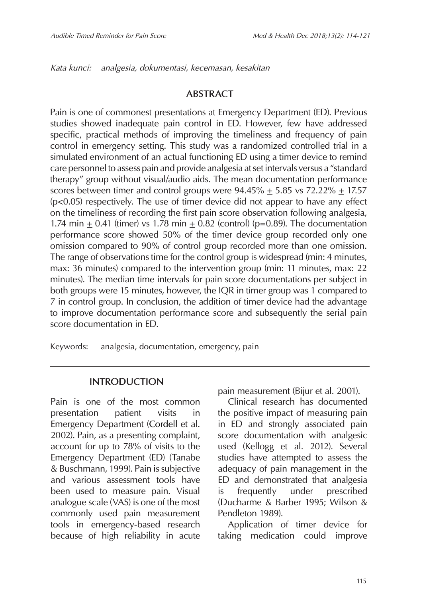*Kata kunci: analgesia, dokumentasi, kecemasan, kesakitan*

### **ABSTRACT**

Pain is one of commonest presentations at Emergency Department (ED). Previous studies showed inadequate pain control in ED. However, few have addressed specific, practical methods of improving the timeliness and frequency of pain control in emergency setting. This study was a randomized controlled trial in a simulated environment of an actual functioning ED using a timer device to remind care personnel to assess pain and provide analgesia at set intervals versus a "standard therapy" group without visual/audio aids. The mean documentation performance scores between timer and control groups were  $94.45\% \pm 5.85$  vs  $72.22\% \pm 17.57$ (p<0.05) respectively. The use of timer device did not appear to have any effect on the timeliness of recording the first pain score observation following analgesia, 1.74 min  $\pm$  0.41 (timer) vs 1.78 min  $\pm$  0.82 (control) (p=0.89). The documentation performance score showed 50% of the timer device group recorded only one omission compared to 90% of control group recorded more than one omission. The range of observations time for the control group is widespread (min: 4 minutes, max: 36 minutes) compared to the intervention group (min: 11 minutes, max: 22 minutes). The median time intervals for pain score documentations per subject in both groups were 15 minutes, however, the IQR in timer group was 1 compared to 7 in control group. In conclusion, the addition of timer device had the advantage to improve documentation performance score and subsequently the serial pain score documentation in ED.

Keywords: analgesia, documentation, emergency, pain

#### **INTRODUCTION**

Pain is one of the most common presentation patient visits in Emergency Department (Cordell et al. 2002). Pain, as a presenting complaint, account for up to 78% of visits to the Emergency Department (ED) (Tanabe & Buschmann, 1999). Pain is subjective and various assessment tools have been used to measure pain. Visual analogue scale (VAS) is one of the most commonly used pain measurement tools in emergency-based research because of high reliability in acute pain measurement (Bijur et al. 2001).

Clinical research has documented the positive impact of measuring pain in ED and strongly associated pain score documentation with analgesic used (Kellogg et al. 2012). Several studies have attempted to assess the adequacy of pain management in the ED and demonstrated that analgesia is frequently under prescribed (Ducharme & Barber 1995; Wilson & Pendleton 1989).

Application of timer device for taking medication could improve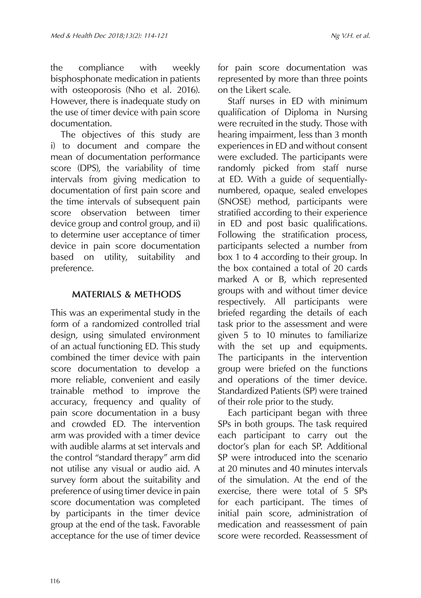the compliance with weekly bisphosphonate medication in patients with osteoporosis (Nho et al. 2016). However, there is inadequate study on the use of timer device with pain score documentation.

The objectives of this study are i) to document and compare the mean of documentation performance score (DPS), the variability of time intervals from giving medication to documentation of first pain score and the time intervals of subsequent pain score observation between timer device group and control group, and ii) to determine user acceptance of timer device in pain score documentation based on utility, suitability and preference.

## **MATERIALS & METHODS**

This was an experimental study in the form of a randomized controlled trial design, using simulated environment of an actual functioning ED. This study combined the timer device with pain score documentation to develop a more reliable, convenient and easily trainable method to improve the accuracy, frequency and quality of pain score documentation in a busy and crowded ED. The intervention arm was provided with a timer device with audible alarms at set intervals and the control "standard therapy" arm did not utilise any visual or audio aid. A survey form about the suitability and preference of using timer device in pain score documentation was completed by participants in the timer device group at the end of the task. Favorable acceptance for the use of timer device

for pain score documentation was represented by more than three points on the Likert scale.

Staff nurses in ED with minimum qualification of Diploma in Nursing were recruited in the study. Those with hearing impairment, less than 3 month experiences in ED and without consent were excluded. The participants were randomly picked from staff nurse at ED. With a guide of sequentiallynumbered, opaque, sealed envelopes (SNOSE) method, participants were stratified according to their experience in ED and post basic qualifications. Following the stratification process, participants selected a number from box 1 to 4 according to their group. In the box contained a total of 20 cards marked A or B, which represented groups with and without timer device respectively. All participants were briefed regarding the details of each task prior to the assessment and were given 5 to 10 minutes to familiarize with the set up and equipments. The participants in the intervention group were briefed on the functions and operations of the timer device. Standardized Patients (SP) were trained of their role prior to the study.

Each participant began with three SPs in both groups. The task required each participant to carry out the doctor's plan for each SP. Additional SP were introduced into the scenario at 20 minutes and 40 minutes intervals of the simulation. At the end of the exercise, there were total of 5 SPs for each participant. The times of initial pain score, administration of medication and reassessment of pain score were recorded. Reassessment of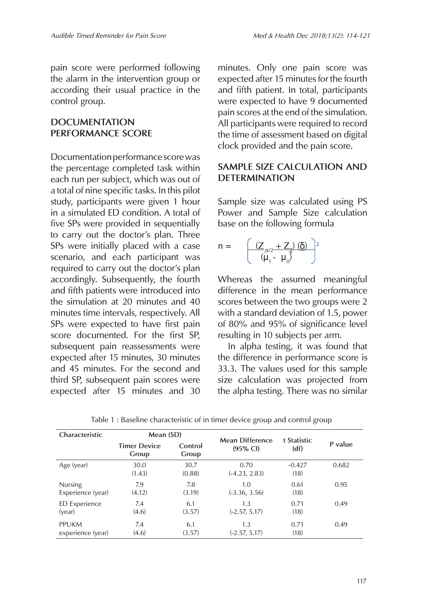pain score were performed following the alarm in the intervention group or according their usual practice in the control group.

# **DOCUMENTATION PERFORMANCE SCORE**

Documentation performance score was the percentage completed task within each run per subject, which was out of a total of nine specific tasks. In this pilot study, participants were given 1 hour in a simulated ED condition. A total of five SPs were provided in sequentially to carry out the doctor's plan. Three SPs were initially placed with a case scenario, and each participant was required to carry out the doctor's plan accordingly. Subsequently, the fourth and fifth patients were introduced into the simulation at 20 minutes and 40 minutes time intervals, respectively. All SPs were expected to have first pain score documented. For the first SP, subsequent pain reassessments were expected after 15 minutes, 30 minutes and 45 minutes. For the second and third SP, subsequent pain scores were expected after 15 minutes and 30

minutes. Only one pain score was expected after 15 minutes for the fourth and fifth patient. In total, participants were expected to have 9 documented pain scores at the end of the simulation. All participants were required to record the time of assessment based on digital clock provided and the pain score.

# **SAMPLE SIZE CALCULATION AND DETERMINATION**

Sample size was calculated using PS Power and Sample Size calculation base on the following formula

$$
n = \left( \frac{\left( Z_{\alpha/2} + Z_{\beta} \right) \left( \delta \right)}{\left( \mu_1 - \mu_0 \right)^2} \right)^2
$$

Whereas the assumed meaningful difference in the mean performance scores between the two groups were 2 with a standard deviation of 1.5, power of 80% and 95% of significance level resulting in 10 subjects per arm.

In alpha testing, it was found that the difference in performance score is 33.3. The values used for this sample size calculation was projected from the alpha testing. There was no similar

| Characteristic       | Mean (SD)                    |                  | <b>Mean Difference</b>  | t Statistic      |         |
|----------------------|------------------------------|------------------|-------------------------|------------------|---------|
|                      | <b>Timer Device</b><br>Group | Control<br>Group | $(95\% \text{ Cl})$     | (df)             | P value |
| Age (year)           | 30.0<br>(1.43)               | 30.7<br>(0.88)   | 0.70<br>$(-4.23, 2.83)$ | $-0.427$<br>(18) | 0.682   |
| <b>Nursing</b>       | 7.9                          | 7.8              | 1.0                     | 0.61             | 0.95    |
| Experience (year)    | (4.12)                       | (3.19)           | $(-3.36, 3.56)$         | (18)             |         |
| <b>ED</b> Experience | 7.4                          | 6.1              | 1.3                     | 0.71             | 0.49    |
| (year)               | (4.6)                        | (3.57)           | $(-2.57, 5.17)$         | (18)             |         |
| <b>PPUKM</b>         | 7.4                          | 6.1              | 1.3                     | 0.71             | 0.49    |
| experience (year)    | (4.6)                        | (3.57)           | $(-2.57, 5.17)$         | (18)             |         |

Table 1 : Baseline characteristic of in timer device group and control group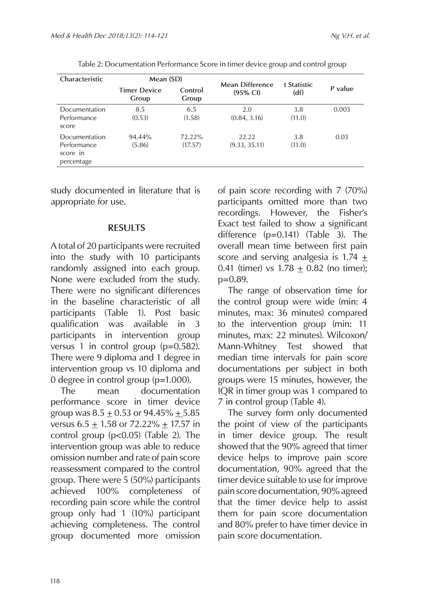| Characteristic                                         | Mean (SD)                    |                   | Mean Difference        | t Statistic   |         |
|--------------------------------------------------------|------------------------------|-------------------|------------------------|---------------|---------|
|                                                        | <b>Timer Device</b><br>Group | Control<br>Group  | $(95\% \text{ Cl})$    | (df)          | P value |
| Documentation<br>Performance<br>score                  | 8.5<br>(0.53)                | 6.5<br>(1.58)     | 2.0<br>(0.84, 3.16)    | 3.8<br>(11.0) | 0.003   |
| Documentation<br>Performance<br>score in<br>percentage | 94.44%<br>(5.86)             | 72.22%<br>(17.57) | 22.22<br>(9.33, 35.11) | 3.8<br>(11.0) | 0.03    |

Table 2: Documentation Performance Score in timer device group and control group

study documented in literature that is appropriate for use.

#### **RESULTS**

A total of 20 participants were recruited into the study with 10 participants randomly assigned into each group. None were excluded from the study. There were no significant differences in the baseline characteristic of all participants (Table 1). Post basic qualification was available in 3 participants in intervention group versus 1 in control group (p=0.582). There were 9 diploma and 1 degree in intervention group vs 10 diploma and 0 degree in control group (p=1.000).

The mean documentation performance score in timer device group was  $8.5 \pm 0.53$  or  $94.45\% \pm 5.85$ versus 6.5  $\pm$  1.58 or 72.22%  $\pm$  17.57 in control group (p<0.05) (Table 2). The intervention group was able to reduce omission number and rate of pain score reassessment compared to the control group. There were 5 (50%) participants achieved 100% completeness of recording pain score while the control group only had 1 (10%) participant achieving completeness. The control group documented more omission

of pain score recording with 7 (70%) participants omitted more than two recordings. However, the Fisher's Exact test failed to show a significant difference (p=0.141) (Table 3). The overall mean time between first pain score and serving analgesia is  $1.74 \pm$ 0.41 (timer) vs  $1.78 + 0.82$  (no timer): p=0.89.

The range of observation time for the control group were wide (min: 4 minutes, max: 36 minutes) compared to the intervention group (min: 11 minutes, max: 22 minutes). Wilcoxon/ Mann-Whitney Test showed that median time intervals for pain score documentations per subject in both groups were 15 minutes, however, the IQR in timer group was 1 compared to 7 in control group (Table 4).

The survey form only documented the point of view of the participants in timer device group. The result showed that the 90% agreed that timer device helps to improve pain score documentation, 90% agreed that the timer device suitable to use for improve pain score documentation, 90% agreed that the timer device help to assist them for pain score documentation and 80% prefer to have timer device in pain score documentation.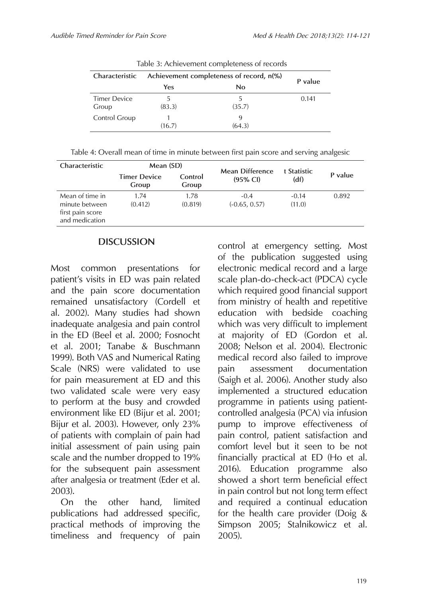|                              |                                          | rapic bi richmevement completeness of records |       |
|------------------------------|------------------------------------------|-----------------------------------------------|-------|
| Characteristic               | Achievement completeness of record, n(%) | P value                                       |       |
|                              | Yes                                      | No                                            |       |
| <b>Timer Device</b><br>Group | 5<br>(83.3)                              | 5<br>(35.7)                                   | 0.141 |
| Control Group                | (16.7)                                   | q<br>(64.3)                                   |       |

Table 3: Achievement completeness of records

|  | Table 4: Overall mean of time in minute between first pain score and serving analgesic |  |  |
|--|----------------------------------------------------------------------------------------|--|--|
|  |                                                                                        |  |  |
|  |                                                                                        |  |  |
|  |                                                                                        |  |  |

| <b>Characteristic</b>                                                   | Mean (SD)                    |                  | <b>Mean Difference</b>    |                     |         |
|-------------------------------------------------------------------------|------------------------------|------------------|---------------------------|---------------------|---------|
|                                                                         | <b>Timer Device</b><br>Group | Control<br>Group | $(95% \text{ Cl})$        | t Statistic<br>(df) | P value |
| Mean of time in<br>minute between<br>first pain score<br>and medication | 1.74<br>(0.412)              | 1.78<br>(0.819)  | $-0.4$<br>$(-0.65, 0.57)$ | $-0.14$<br>(11.0)   | 0.892   |

# **DISCUSSION**

Most common presentations for patient's visits in ED was pain related and the pain score documentation remained unsatisfactory (Cordell et al. 2002). Many studies had shown inadequate analgesia and pain control in the ED (Beel et al. 2000; Fosnocht et al. 2001; Tanabe & Buschmann 1999). Both VAS and Numerical Rating Scale (NRS) were validated to use for pain measurement at ED and this two validated scale were very easy to perform at the busy and crowded environment like ED (Bijur et al. 2001; Bijur et al. 2003). However, only 23% of patients with complain of pain had initial assessment of pain using pain scale and the number dropped to 19% for the subsequent pain assessment after analgesia or treatment (Eder et al. 2003).

On the other hand, limited publications had addressed specific, practical methods of improving the timeliness and frequency of pain

control at emergency setting. Most of the publication suggested using electronic medical record and a large scale plan-do-check-act (PDCA) cycle which required good financial support from ministry of health and repetitive education with bedside coaching which was very difficult to implement at majority of ED (Gordon et al. 2008; Nelson et al. 2004). Electronic medical record also failed to improve pain assessment documentation (Saigh et al. 2006). Another study also implemented a structured education programme in patients using patientcontrolled analgesia (PCA) via infusion pump to improve effectiveness of pain control, patient satisfaction and comfort level but it seen to be not financially practical at ED (Ho et al. 2016). Education programme also showed a short term beneficial effect in pain control but not long term effect and required a continual education for the health care provider (Doig & Simpson 2005; Stalnikowicz et al. 2005).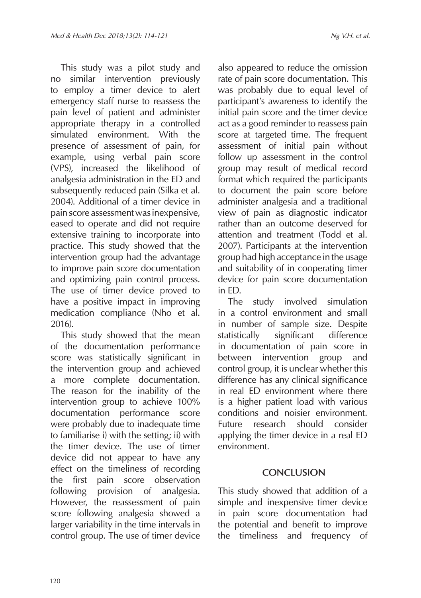This study was a pilot study and

also appeared to reduce the omission

no similar intervention previously to employ a timer device to alert emergency staff nurse to reassess the pain level of patient and administer appropriate therapy in a controlled simulated environment. With the presence of assessment of pain, for example, using verbal pain score (VPS), increased the likelihood of analgesia administration in the ED and subsequently reduced pain (Silka et al. 2004). Additional of a timer device in pain score assessment was inexpensive, eased to operate and did not require extensive training to incorporate into practice. This study showed that the intervention group had the advantage to improve pain score documentation and optimizing pain control process. The use of timer device proved to have a positive impact in improving medication compliance (Nho et al. 2016).

This study showed that the mean of the documentation performance score was statistically significant in the intervention group and achieved a more complete documentation. The reason for the inability of the intervention group to achieve 100% documentation performance score were probably due to inadequate time to familiarise i) with the setting; ii) with the timer device. The use of timer device did not appear to have any effect on the timeliness of recording the first pain score observation following provision of analgesia. However, the reassessment of pain score following analgesia showed a larger variability in the time intervals in control group. The use of timer device

rate of pain score documentation. This was probably due to equal level of participant's awareness to identify the initial pain score and the timer device act as a good reminder to reassess pain score at targeted time. The frequent assessment of initial pain without follow up assessment in the control group may result of medical record format which required the participants to document the pain score before administer analgesia and a traditional view of pain as diagnostic indicator rather than an outcome deserved for attention and treatment (Todd et al. 2007). Participants at the intervention group had high acceptance in the usage and suitability of in cooperating timer device for pain score documentation in ED.

The study involved simulation in a control environment and small in number of sample size. Despite statistically significant difference in documentation of pain score in between intervention group and control group, it is unclear whether this difference has any clinical significance in real ED environment where there is a higher patient load with various conditions and noisier environment. Future research should consider applying the timer device in a real ED environment.

## **CONCLUSION**

This study showed that addition of a simple and inexpensive timer device in pain score documentation had the potential and benefit to improve the timeliness and frequency of